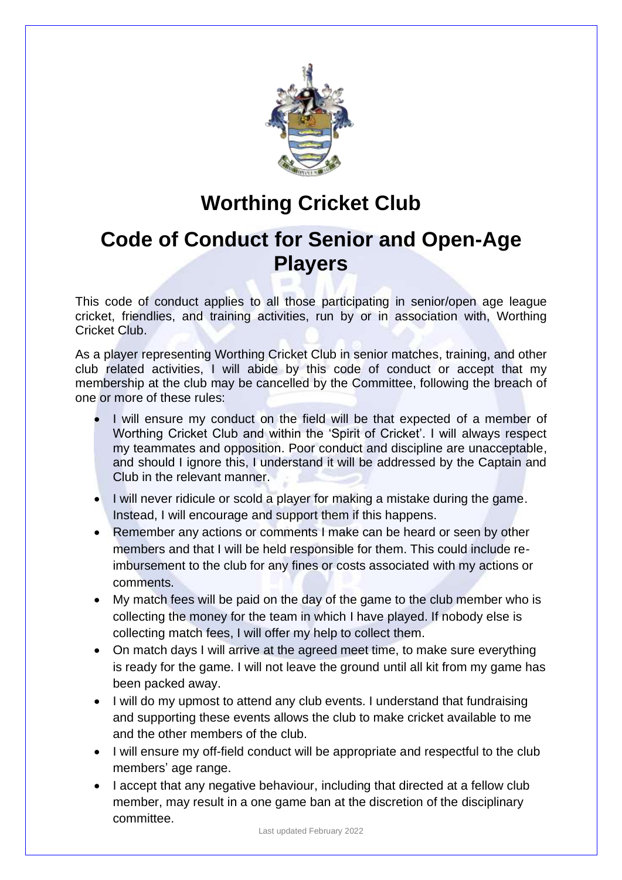

## **Worthing Cricket Club**

## **Code of Conduct for Senior and Open-Age Players**

This code of conduct applies to all those participating in senior/open age league cricket, friendlies, and training activities, run by or in association with, Worthing Cricket Club.

As a player representing Worthing Cricket Club in senior matches, training, and other club related activities, I will abide by this code of conduct or accept that my membership at the club may be cancelled by the Committee, following the breach of one or more of these rules:

- I will ensure my conduct on the field will be that expected of a member of Worthing Cricket Club and within the 'Spirit of Cricket'. I will always respect my teammates and opposition. Poor conduct and discipline are unacceptable, and should I ignore this, I understand it will be addressed by the Captain and Club in the relevant manner.
- I will never ridicule or scold a player for making a mistake during the game. Instead, I will encourage and support them if this happens.
- Remember any actions or comments I make can be heard or seen by other members and that I will be held responsible for them. This could include reimbursement to the club for any fines or costs associated with my actions or comments.
- My match fees will be paid on the day of the game to the club member who is collecting the money for the team in which I have played. If nobody else is collecting match fees, I will offer my help to collect them.
- On match days I will arrive at the agreed meet time, to make sure everything is ready for the game. I will not leave the ground until all kit from my game has been packed away.
- I will do my upmost to attend any club events. I understand that fundraising and supporting these events allows the club to make cricket available to me and the other members of the club.
- I will ensure my off-field conduct will be appropriate and respectful to the club members' age range.
- I accept that any negative behaviour, including that directed at a fellow club member, may result in a one game ban at the discretion of the disciplinary committee.

Last updated February 2022